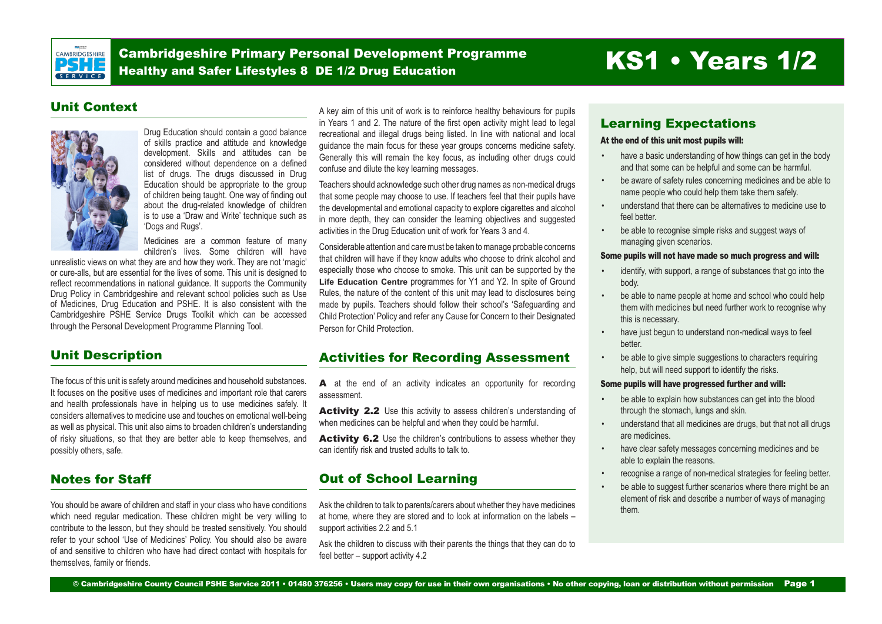

Cambridgeshire Primary Personal Development Programme Cambridgeshire Primary Personal Development Programme<br>Healthy and Safer Lifestyles 8 DE 1/2 Drug Education

#### Unit Context



Drug Education should contain a good balance of skills practice and attitude and knowledge development. Skills and attitudes can be considered without dependence on a defined list of drugs. The drugs discussed in Drug Education should be appropriate to the group of children being taught. One way of finding out about the drug-related knowledge of children is to use a 'Draw and Write' technique such as 'Dogs and Rugs'.

Medicines are a common feature of many children's lives. Some children will have

unrealistic views on what they are and how they work. They are not 'magic' or cure-alls, but are essential for the lives of some. This unit is designed to reflect recommendations in national guidance. It supports the Community Drug Policy in Cambridgeshire and relevant school policies such as Use of Medicines, Drug Education and PSHE. It is also consistent with the Cambridgeshire PSHE Service Drugs Toolkit which can be accessed through the Personal Development Programme Planning Tool.

#### Unit Description

The focus of this unit is safety around medicines and household substances. It focuses on the positive uses of medicines and important role that carers and health professionals have in helping us to use medicines safely. It considers alternatives to medicine use and touches on emotional well-being as well as physical. This unit also aims to broaden children's understanding of risky situations, so that they are better able to keep themselves, and possibly others, safe.

### Notes for Staff

You should be aware of children and staff in your class who have conditions which need regular medication. These children might be very willing to contribute to the lesson, but they should be treated sensitively. You should refer to your school 'Use of Medicines' Policy. You should also be aware of and sensitive to children who have had direct contact with hospitals for themselves, family or friends.

A key aim of this unit of work is to reinforce healthy behaviours for pupils in Years 1 and 2. The nature of the first open activity might lead to legal recreational and illegal drugs being listed. In line with national and local guidance the main focus for these year groups concerns medicine safety. Generally this will remain the key focus, as including other drugs could confuse and dilute the key learning messages.

Teachers should acknowledge such other drug names as non-medical drugs that some people may choose to use. If teachers feel that their pupils have the developmental and emotional capacity to explore cigarettes and alcohol in more depth, they can consider the learning objectives and suggested activities in the Drug Education unit of work for Years 3 and 4.

Considerable attention and care must be taken to manage probable concerns that children will have if they know adults who choose to drink alcohol and especially those who choose to smoke. This unit can be supported by the **Life Education Centre** programmes for Y1 and Y2. In spite of Ground Rules, the nature of the content of this unit may lead to disclosures being made by pupils. Teachers should follow their school's 'Safeguarding and Child Protection' Policy and refer any Cause for Concern to their Designated Person for Child Protection.

#### Activities for Recording Assessment

A at the end of an activity indicates an opportunity for recording assessment.

Activity 2.2 Use this activity to assess children's understanding of when medicines can be helpful and when they could be harmful.

Activity 6.2 Use the children's contributions to assess whether they can identify risk and trusted adults to talk to.

### Out of School Learning

Ask the children to talk to parents/carers about whether they have medicines at home, where they are stored and to look at information on the labels – support activities 2.2 and 5.1

Ask the children to discuss with their parents the things that they can do to feel better – support activity 4.2

### Learning Expectations

#### At the end of this unit most pupils will:

- have a basic understanding of how things can get in the body and that some can be helpful and some can be harmful.
- be aware of safety rules concerning medicines and be able to name people who could help them take them safely.
- understand that there can be alternatives to medicine use to feel better.
- be able to recognise simple risks and suggest ways of managing given scenarios.

#### Some pupils will not have made so much progress and will:

- identify, with support, a range of substances that go into the body.
- be able to name people at home and school who could help them with medicines but need further work to recognise why this is necessary.
- have just begun to understand non-medical ways to feel better.
- be able to give simple suggestions to characters requiring help, but will need support to identify the risks.

#### Some pupils will have progressed further and will:

- be able to explain how substances can get into the blood through the stomach, lungs and skin.
- understand that all medicines are drugs, but that not all drugs are medicines.
- have clear safety messages concerning medicines and be able to explain the reasons.
- recognise a range of non-medical strategies for feeling better.
- be able to suggest further scenarios where there might be an element of risk and describe a number of ways of managing them.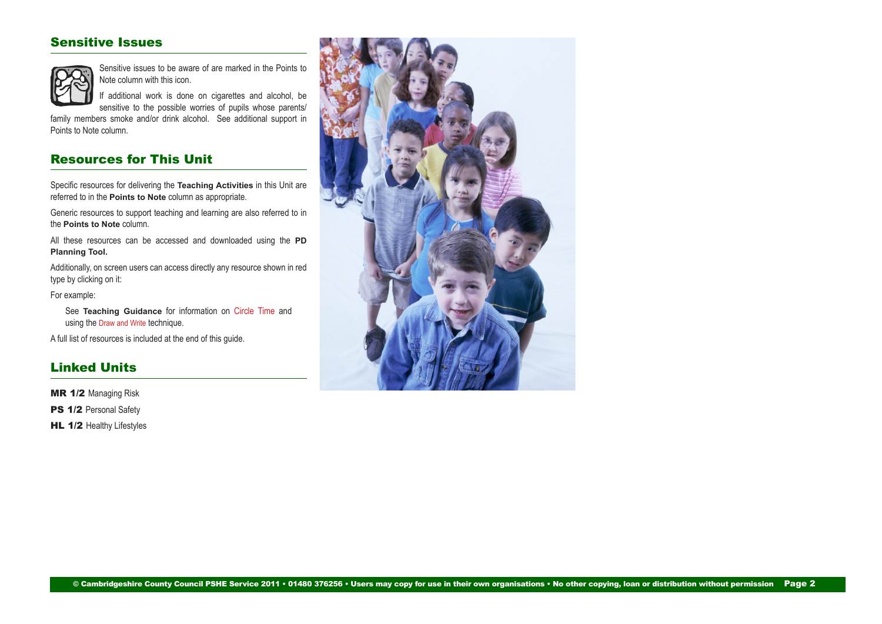### Sensitive Issues



Sensitive issues to be aware of are marked in the Points to Note column with this icon.

If additional work is done on cigarettes and alcohol, be sensitive to the possible worries of pupils whose parents/

family members smoke and/or drink alcohol. See additional support in Points to Note column.

### Resources for This Unit

Specific resources for delivering the **Teaching Activities** in this Unit are referred to in the **Points to Note** column as appropriate.

Generic resources to support teaching and learning are also referred to in the **Points to Note** column.

All these resources can be accessed and downloaded using the **PD Planning Tool.**

Additionally, on screen users can access directly any resource shown in red type by clicking on it:

#### For example:

See **Teaching Guidance** for information on Circle Time and using the Draw and Write technique.

A full list of resources is included at the end of this guide.

#### Linked Units

MR 1/2 Managing Risk

PS 1/2 Personal Safety

HL 1/2 Healthy Lifestyles

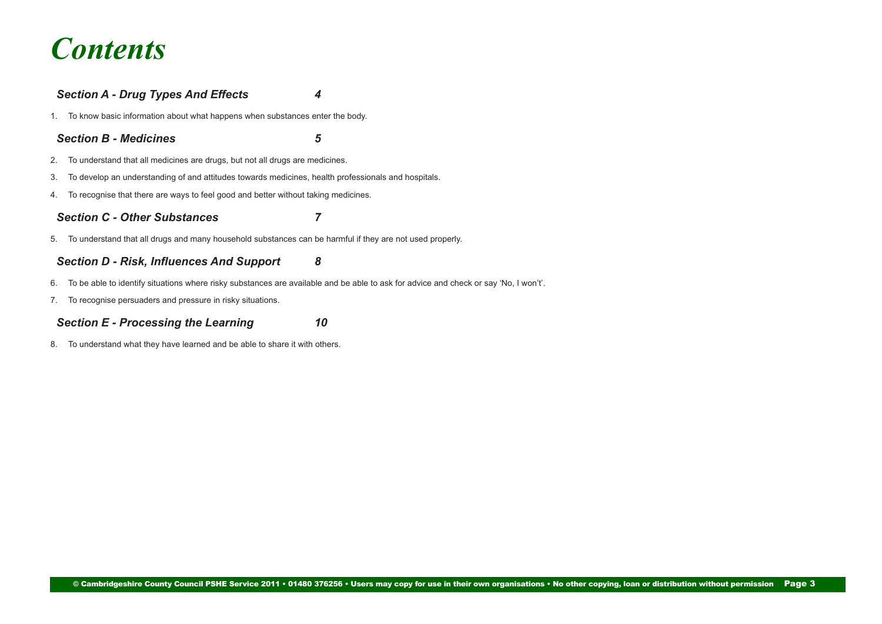# *Contents*

# *[Section A - Drug Types And Effects 4](#page-3-0)* 1. [To know basic information about what happens when substances enter the body.](#page-3-0) *[Section B - Medicines 5](#page-4-0)* 2. [To understand that all medicines are drugs, but not all drugs are medicines.](#page-4-0) 3. [To develop an understanding of and attitudes towards medicines, health professionals and hospitals.](#page-5-0) 4. [To recognise that there are ways to feel good and better without taking medicines.](#page-5-0) *[Section C - Other Substances 7](#page-6-0)* 5. [To understand that all drugs and many household substances can be harmful if they are not used properly.](#page-6-0) *[Section D - Risk, Influences And Support](#page-7-0) 8* 6. [To be able to identify situations where risky substances are available and be able to ask for advice and check or say 'No, I won't'.](#page-7-0) 7. [To recognise persuaders and pressure in risky situations.](#page-8-0)

#### *[Section E - Processing the Learning 10](#page-9-0)*

8. [To understand what they have learned and be able to share it with others.](#page-9-0)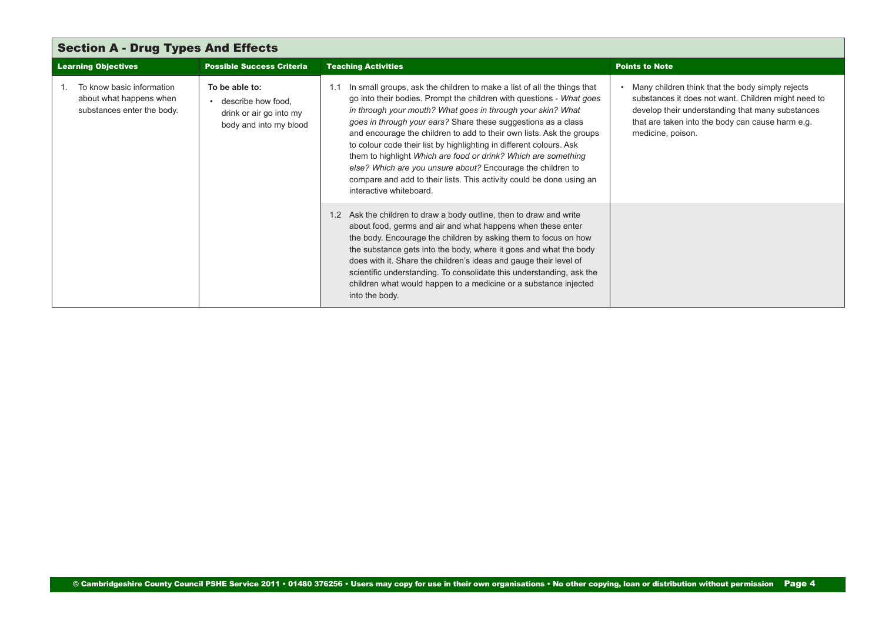<span id="page-3-0"></span>

| <b>Section A - Drug Types And Effects</b>                                          |                                                                                             |                                                                                                                                                                                                                                                                                                                                                                                                                                                                                                                                                                                                                                                                    |                                                                                                                                                                                                                                      |
|------------------------------------------------------------------------------------|---------------------------------------------------------------------------------------------|--------------------------------------------------------------------------------------------------------------------------------------------------------------------------------------------------------------------------------------------------------------------------------------------------------------------------------------------------------------------------------------------------------------------------------------------------------------------------------------------------------------------------------------------------------------------------------------------------------------------------------------------------------------------|--------------------------------------------------------------------------------------------------------------------------------------------------------------------------------------------------------------------------------------|
| <b>Learning Objectives</b>                                                         | <b>Possible Success Criteria</b>                                                            | <b>Teaching Activities</b>                                                                                                                                                                                                                                                                                                                                                                                                                                                                                                                                                                                                                                         | <b>Points to Note</b>                                                                                                                                                                                                                |
| To know basic information<br>about what happens when<br>substances enter the body. | To be able to:<br>• describe how food,<br>drink or air go into my<br>body and into my blood | In small groups, ask the children to make a list of all the things that<br>go into their bodies. Prompt the children with questions - What goes<br>in through your mouth? What goes in through your skin? What<br>goes in through your ears? Share these suggestions as a class<br>and encourage the children to add to their own lists. Ask the groups<br>to colour code their list by highlighting in different colours. Ask<br>them to highlight Which are food or drink? Which are something<br>else? Which are you unsure about? Encourage the children to<br>compare and add to their lists. This activity could be done using an<br>interactive whiteboard. | Many children think that the body simply rejects<br>substances it does not want. Children might need to<br>develop their understanding that many substances<br>that are taken into the body can cause harm e.g.<br>medicine, poison. |
|                                                                                    |                                                                                             | 1.2 Ask the children to draw a body outline, then to draw and write<br>about food, germs and air and what happens when these enter<br>the body. Encourage the children by asking them to focus on how<br>the substance gets into the body, where it goes and what the body<br>does with it. Share the children's ideas and gauge their level of<br>scientific understanding. To consolidate this understanding, ask the<br>children what would happen to a medicine or a substance injected<br>into the body.                                                                                                                                                      |                                                                                                                                                                                                                                      |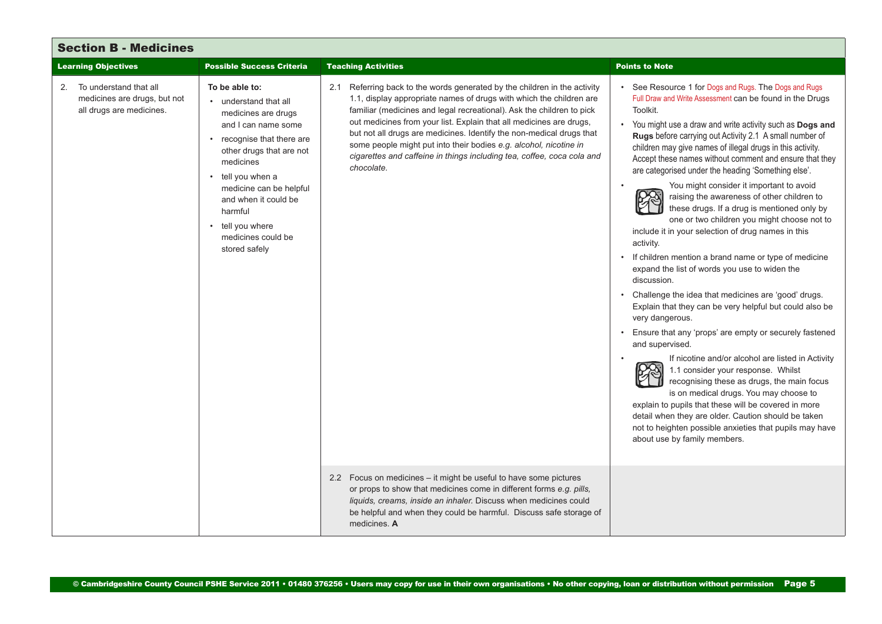<span id="page-4-0"></span>

| <b>Section B - Medicines</b>                                                          |                                                                                                                                                                                                                                                                                                          |                                                                                                                                                                                                                                                                                                                                                                                                                                                                                                                                       |                                                                                                                                                                                                                                                                                                                                                                                                                                                                                                                                                                                                                                                                                                                                                                                                                                                                                                                                                                                                                                                                                                                                                                                                                                                                                                                                                                                                                                          |
|---------------------------------------------------------------------------------------|----------------------------------------------------------------------------------------------------------------------------------------------------------------------------------------------------------------------------------------------------------------------------------------------------------|---------------------------------------------------------------------------------------------------------------------------------------------------------------------------------------------------------------------------------------------------------------------------------------------------------------------------------------------------------------------------------------------------------------------------------------------------------------------------------------------------------------------------------------|------------------------------------------------------------------------------------------------------------------------------------------------------------------------------------------------------------------------------------------------------------------------------------------------------------------------------------------------------------------------------------------------------------------------------------------------------------------------------------------------------------------------------------------------------------------------------------------------------------------------------------------------------------------------------------------------------------------------------------------------------------------------------------------------------------------------------------------------------------------------------------------------------------------------------------------------------------------------------------------------------------------------------------------------------------------------------------------------------------------------------------------------------------------------------------------------------------------------------------------------------------------------------------------------------------------------------------------------------------------------------------------------------------------------------------------|
| <b>Learning Objectives</b>                                                            | <b>Possible Success Criteria</b>                                                                                                                                                                                                                                                                         | <b>Teaching Activities</b>                                                                                                                                                                                                                                                                                                                                                                                                                                                                                                            | <b>Points to Note</b>                                                                                                                                                                                                                                                                                                                                                                                                                                                                                                                                                                                                                                                                                                                                                                                                                                                                                                                                                                                                                                                                                                                                                                                                                                                                                                                                                                                                                    |
| 2. To understand that all<br>medicines are drugs, but not<br>all drugs are medicines. | To be able to:<br>• understand that all<br>medicines are drugs<br>and I can name some<br>• recognise that there are<br>other drugs that are not<br>medicines<br>tell you when a<br>medicine can be helpful<br>and when it could be<br>harmful<br>• tell you where<br>medicines could be<br>stored safely | 2.1 Referring back to the words generated by the children in the activity<br>1.1, display appropriate names of drugs with which the children are<br>familiar (medicines and legal recreational). Ask the children to pick<br>out medicines from your list. Explain that all medicines are drugs,<br>but not all drugs are medicines. Identify the non-medical drugs that<br>some people might put into their bodies e.g. alcohol, nicotine in<br>cigarettes and caffeine in things including tea, coffee, coca cola and<br>chocolate. | • See Resource 1 for Dogs and Rugs. The Dogs and Rugs<br>Full Draw and Write Assessment can be found in the Drugs<br>Toolkit.<br>You might use a draw and write activity such as Dogs and<br>Rugs before carrying out Activity 2.1 A small number of<br>children may give names of illegal drugs in this activity.<br>Accept these names without comment and ensure that they<br>are categorised under the heading 'Something else'.<br>You might consider it important to avoid<br>raising the awareness of other children to<br>these drugs. If a drug is mentioned only by<br>one or two children you might choose not to<br>include it in your selection of drug names in this<br>activity.<br>If children mention a brand name or type of medicine<br>expand the list of words you use to widen the<br>discussion.<br>• Challenge the idea that medicines are 'good' drugs.<br>Explain that they can be very helpful but could also be<br>very dangerous.<br>Ensure that any 'props' are empty or securely fastened<br>and supervised.<br>If nicotine and/or alcohol are listed in Activity<br>1.1 consider your response. Whilst<br>recognising these as drugs, the main focus<br>is on medical drugs. You may choose to<br>explain to pupils that these will be covered in more<br>detail when they are older. Caution should be taken<br>not to heighten possible anxieties that pupils may have<br>about use by family members. |
|                                                                                       |                                                                                                                                                                                                                                                                                                          | 2.2 Focus on medicines - it might be useful to have some pictures<br>or props to show that medicines come in different forms e.g. pills,<br>liquids, creams, inside an inhaler. Discuss when medicines could<br>be helpful and when they could be harmful. Discuss safe storage of<br>medicines. A                                                                                                                                                                                                                                    |                                                                                                                                                                                                                                                                                                                                                                                                                                                                                                                                                                                                                                                                                                                                                                                                                                                                                                                                                                                                                                                                                                                                                                                                                                                                                                                                                                                                                                          |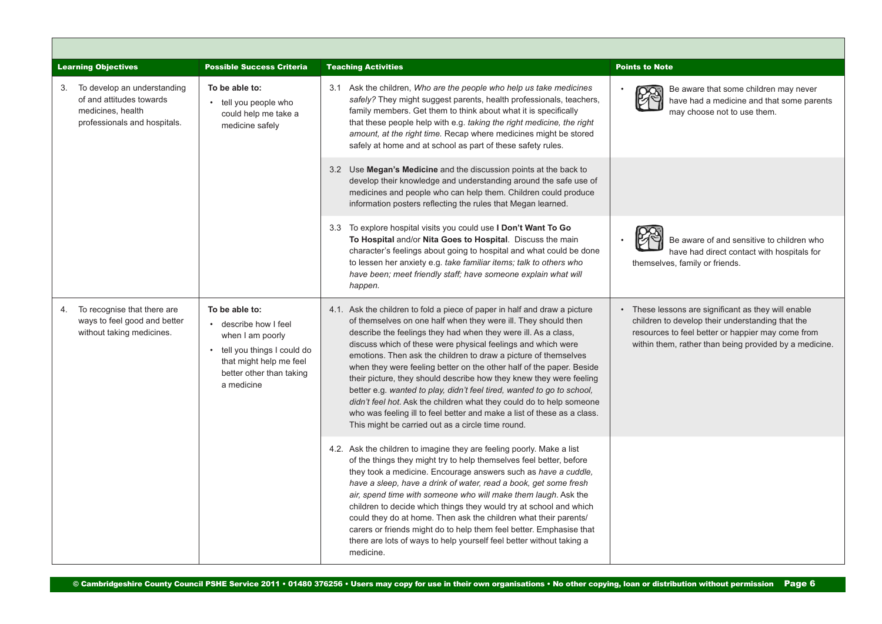<span id="page-5-0"></span>

| <b>Learning Objectives</b>                                                                                      | <b>Possible Success Criteria</b>                                                                                                                                 | <b>Teaching Activities</b>                                                                                                                                                                                                                                                                                                                                                                                                                                                                                                                                                                                                                                                                                                                                                        | <b>Points to Note</b>                                                                                                                                                                                                  |
|-----------------------------------------------------------------------------------------------------------------|------------------------------------------------------------------------------------------------------------------------------------------------------------------|-----------------------------------------------------------------------------------------------------------------------------------------------------------------------------------------------------------------------------------------------------------------------------------------------------------------------------------------------------------------------------------------------------------------------------------------------------------------------------------------------------------------------------------------------------------------------------------------------------------------------------------------------------------------------------------------------------------------------------------------------------------------------------------|------------------------------------------------------------------------------------------------------------------------------------------------------------------------------------------------------------------------|
| 3. To develop an understanding<br>of and attitudes towards<br>medicines, health<br>professionals and hospitals. | To be able to:<br>• tell you people who<br>could help me take a<br>medicine safely                                                                               | 3.1 Ask the children, Who are the people who help us take medicines<br>safely? They might suggest parents, health professionals, teachers,<br>family members. Get them to think about what it is specifically<br>that these people help with e.g. taking the right medicine, the right<br>amount, at the right time. Recap where medicines might be stored<br>safely at home and at school as part of these safety rules.                                                                                                                                                                                                                                                                                                                                                         | Be aware that some children may never<br>have had a medicine and that some parents<br>may choose not to use them.                                                                                                      |
|                                                                                                                 |                                                                                                                                                                  | 3.2 Use Megan's Medicine and the discussion points at the back to<br>develop their knowledge and understanding around the safe use of<br>medicines and people who can help them. Children could produce<br>information posters reflecting the rules that Megan learned.                                                                                                                                                                                                                                                                                                                                                                                                                                                                                                           |                                                                                                                                                                                                                        |
|                                                                                                                 |                                                                                                                                                                  | 3.3 To explore hospital visits you could use I Don't Want To Go<br>To Hospital and/or Nita Goes to Hospital. Discuss the main<br>character's feelings about going to hospital and what could be done<br>to lessen her anxiety e.g. take familiar items; talk to others who<br>have been; meet friendly staff; have someone explain what will<br>happen.                                                                                                                                                                                                                                                                                                                                                                                                                           | Be aware of and sensitive to children who<br>have had direct contact with hospitals for<br>themselves, family or friends.                                                                                              |
| To recognise that there are<br>4.<br>ways to feel good and better<br>without taking medicines.                  | To be able to:<br>• describe how I feel<br>when I am poorly<br>• tell you things I could do<br>that might help me feel<br>better other than taking<br>a medicine | 4.1. Ask the children to fold a piece of paper in half and draw a picture<br>of themselves on one half when they were ill. They should then<br>describe the feelings they had when they were ill. As a class,<br>discuss which of these were physical feelings and which were<br>emotions. Then ask the children to draw a picture of themselves<br>when they were feeling better on the other half of the paper. Beside<br>their picture, they should describe how they knew they were feeling<br>better e.g. wanted to play, didn't feel tired, wanted to go to school,<br>didn't feel hot. Ask the children what they could do to help someone<br>who was feeling ill to feel better and make a list of these as a class.<br>This might be carried out as a circle time round. | • These lessons are significant as they will enable<br>children to develop their understanding that the<br>resources to feel better or happier may come from<br>within them, rather than being provided by a medicine. |
|                                                                                                                 |                                                                                                                                                                  | 4.2. Ask the children to imagine they are feeling poorly. Make a list<br>of the things they might try to help themselves feel better, before<br>they took a medicine. Encourage answers such as have a cuddle,<br>have a sleep, have a drink of water, read a book, get some fresh<br>air, spend time with someone who will make them laugh. Ask the<br>children to decide which things they would try at school and which<br>could they do at home. Then ask the children what their parents/<br>carers or friends might do to help them feel better. Emphasise that<br>there are lots of ways to help yourself feel better without taking a<br>medicine.                                                                                                                        |                                                                                                                                                                                                                        |

÷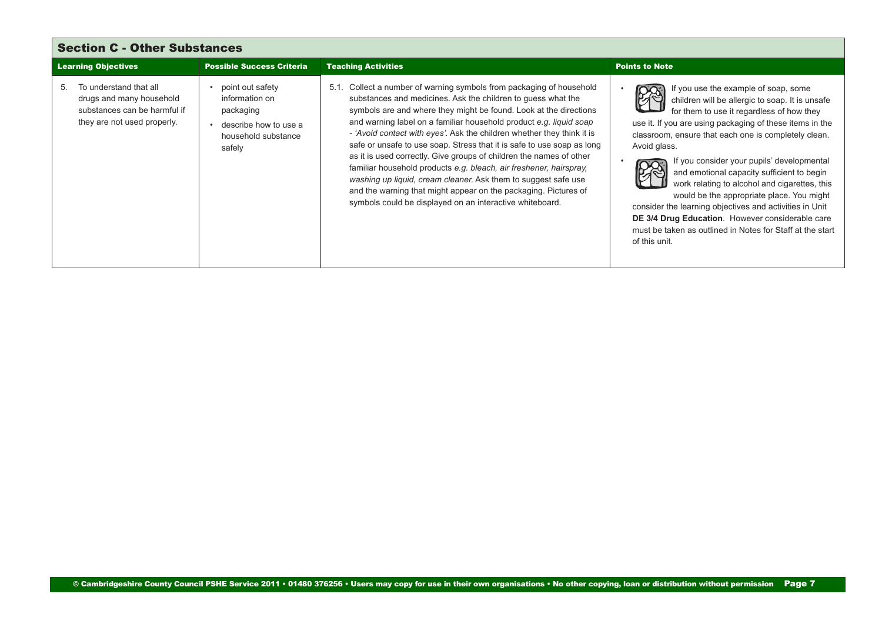<span id="page-6-0"></span>

| <b>Section C - Other Substances</b>                                                                                     |                                                                                                           |                                                                                                                                                                                                                                                                                                                                                                                                                                                                                                                                                                                                                                                                                                                                                                                      |                                                                                                                                                                                                                                                                                                                                                                                                                                                                                                                                                                                                                                                                 |
|-------------------------------------------------------------------------------------------------------------------------|-----------------------------------------------------------------------------------------------------------|--------------------------------------------------------------------------------------------------------------------------------------------------------------------------------------------------------------------------------------------------------------------------------------------------------------------------------------------------------------------------------------------------------------------------------------------------------------------------------------------------------------------------------------------------------------------------------------------------------------------------------------------------------------------------------------------------------------------------------------------------------------------------------------|-----------------------------------------------------------------------------------------------------------------------------------------------------------------------------------------------------------------------------------------------------------------------------------------------------------------------------------------------------------------------------------------------------------------------------------------------------------------------------------------------------------------------------------------------------------------------------------------------------------------------------------------------------------------|
| <b>Learning Objectives</b>                                                                                              | <b>Possible Success Criteria</b>                                                                          | <b>Teaching Activities</b>                                                                                                                                                                                                                                                                                                                                                                                                                                                                                                                                                                                                                                                                                                                                                           | <b>Points to Note</b>                                                                                                                                                                                                                                                                                                                                                                                                                                                                                                                                                                                                                                           |
| To understand that all<br>5.<br>drugs and many household<br>substances can be harmful if<br>they are not used properly. | point out safety<br>information on<br>packaging<br>describe how to use a<br>household substance<br>safely | Collect a number of warning symbols from packaging of household<br>5.1.<br>substances and medicines. Ask the children to guess what the<br>symbols are and where they might be found. Look at the directions<br>and warning label on a familiar household product e.g. liquid soap<br>- 'Avoid contact with eyes'. Ask the children whether they think it is<br>safe or unsafe to use soap. Stress that it is safe to use soap as long<br>as it is used correctly. Give groups of children the names of other<br>familiar household products e.g. bleach, air freshener, hairspray,<br>washing up liquid, cream cleaner. Ask them to suggest safe use<br>and the warning that might appear on the packaging. Pictures of<br>symbols could be displayed on an interactive whiteboard. | If you use the example of soap, some<br>children will be allergic to soap. It is unsafe<br>for them to use it regardless of how they<br>use it. If you are using packaging of these items in the<br>classroom, ensure that each one is completely clean.<br>Avoid glass.<br>If you consider your pupils' developmental<br>and emotional capacity sufficient to begin<br>work relating to alcohol and cigarettes, this<br>would be the appropriate place. You might<br>consider the learning objectives and activities in Unit<br>DE 3/4 Drug Education. However considerable care<br>must be taken as outlined in Notes for Staff at the start<br>of this unit. |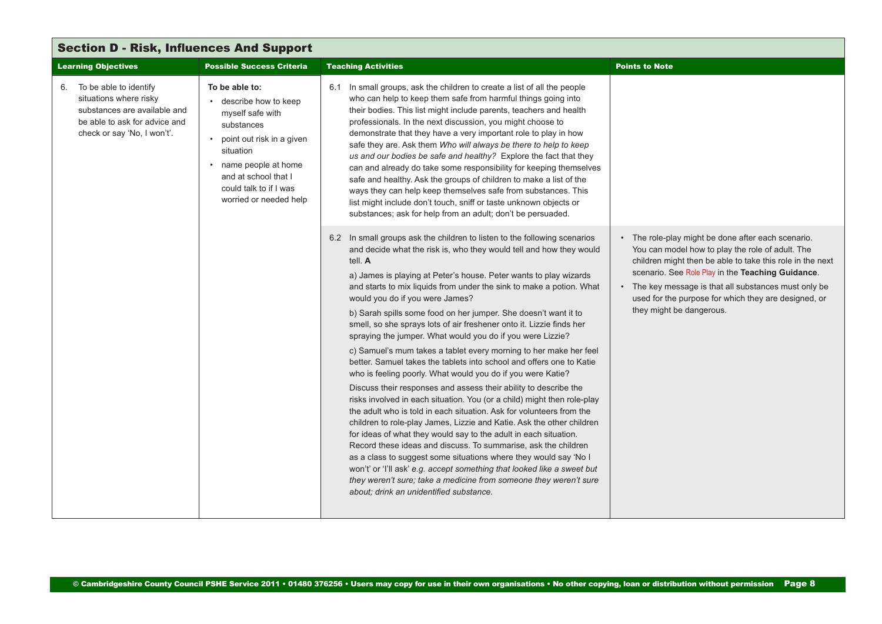<span id="page-7-0"></span>

| <b>Section D - Risk, Influences And Support</b>                                                                                                        |                                                                                                                                                                                                                                      |                                                                                                                                                                                                                                                                                                                                                                                                                                                                                                                                                                                                                                                                                                                                                                                                                                                                                                                                                                                                                                                                                                                                                                                                                                                                                                                                                                                                                                                                       |                                                                                                                                                                                                                                                                                                                                                                   |
|--------------------------------------------------------------------------------------------------------------------------------------------------------|--------------------------------------------------------------------------------------------------------------------------------------------------------------------------------------------------------------------------------------|-----------------------------------------------------------------------------------------------------------------------------------------------------------------------------------------------------------------------------------------------------------------------------------------------------------------------------------------------------------------------------------------------------------------------------------------------------------------------------------------------------------------------------------------------------------------------------------------------------------------------------------------------------------------------------------------------------------------------------------------------------------------------------------------------------------------------------------------------------------------------------------------------------------------------------------------------------------------------------------------------------------------------------------------------------------------------------------------------------------------------------------------------------------------------------------------------------------------------------------------------------------------------------------------------------------------------------------------------------------------------------------------------------------------------------------------------------------------------|-------------------------------------------------------------------------------------------------------------------------------------------------------------------------------------------------------------------------------------------------------------------------------------------------------------------------------------------------------------------|
| <b>Learning Objectives</b>                                                                                                                             | <b>Possible Success Criteria</b>                                                                                                                                                                                                     | <b>Teaching Activities</b>                                                                                                                                                                                                                                                                                                                                                                                                                                                                                                                                                                                                                                                                                                                                                                                                                                                                                                                                                                                                                                                                                                                                                                                                                                                                                                                                                                                                                                            | <b>Points to Note</b>                                                                                                                                                                                                                                                                                                                                             |
| To be able to identify<br>6.<br>situations where risky<br>substances are available and<br>be able to ask for advice and<br>check or say 'No, I won't'. | To be able to:<br>• describe how to keep<br>myself safe with<br>substances<br>point out risk in a given<br>situation<br>name people at home<br>$\bullet$<br>and at school that I<br>could talk to if I was<br>worried or needed help | 6.1 In small groups, ask the children to create a list of all the people<br>who can help to keep them safe from harmful things going into<br>their bodies. This list might include parents, teachers and health<br>professionals. In the next discussion, you might choose to<br>demonstrate that they have a very important role to play in how<br>safe they are. Ask them Who will always be there to help to keep<br>us and our bodies be safe and healthy? Explore the fact that they<br>can and already do take some responsibility for keeping themselves<br>safe and healthy. Ask the groups of children to make a list of the<br>ways they can help keep themselves safe from substances. This<br>list might include don't touch, sniff or taste unknown objects or<br>substances; ask for help from an adult; don't be persuaded.                                                                                                                                                                                                                                                                                                                                                                                                                                                                                                                                                                                                                            |                                                                                                                                                                                                                                                                                                                                                                   |
|                                                                                                                                                        |                                                                                                                                                                                                                                      | 6.2 In small groups ask the children to listen to the following scenarios<br>and decide what the risk is, who they would tell and how they would<br>tell. A<br>a) James is playing at Peter's house. Peter wants to play wizards<br>and starts to mix liquids from under the sink to make a potion. What<br>would you do if you were James?<br>b) Sarah spills some food on her jumper. She doesn't want it to<br>smell, so she sprays lots of air freshener onto it. Lizzie finds her<br>spraying the jumper. What would you do if you were Lizzie?<br>c) Samuel's mum takes a tablet every morning to her make her feel<br>better. Samuel takes the tablets into school and offers one to Katie<br>who is feeling poorly. What would you do if you were Katie?<br>Discuss their responses and assess their ability to describe the<br>risks involved in each situation. You (or a child) might then role-play<br>the adult who is told in each situation. Ask for volunteers from the<br>children to role-play James, Lizzie and Katie. Ask the other children<br>for ideas of what they would say to the adult in each situation.<br>Record these ideas and discuss. To summarise, ask the children<br>as a class to suggest some situations where they would say 'No I<br>won't' or 'I'll ask' e.g. accept something that looked like a sweet but<br>they weren't sure; take a medicine from someone they weren't sure<br>about; drink an unidentified substance. | The role-play might be done after each scenario.<br>You can model how to play the role of adult. The<br>children might then be able to take this role in the next<br>scenario. See Role Play in the Teaching Guidance.<br>The key message is that all substances must only be<br>used for the purpose for which they are designed, or<br>they might be dangerous. |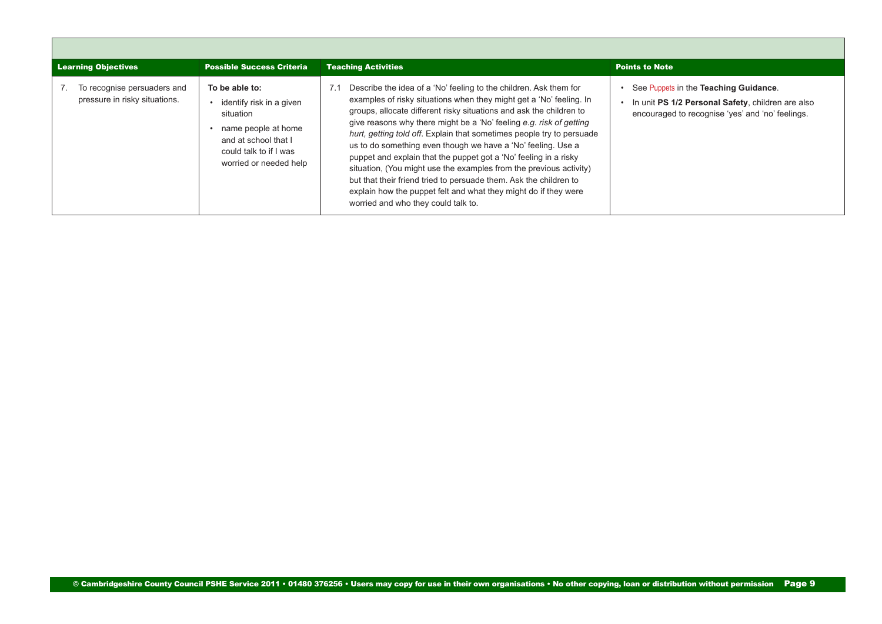<span id="page-8-0"></span>

| <b>Learning Objectives</b>                                   | <b>Possible Success Criteria</b>                                                                                                                           | <b>Teaching Activities</b>                                                                                                                                                                                                                                                                                                                                                                                                                                                                                                                                                                                                                                                                                                                               | <b>Points to Note</b>                                                                                                                          |
|--------------------------------------------------------------|------------------------------------------------------------------------------------------------------------------------------------------------------------|----------------------------------------------------------------------------------------------------------------------------------------------------------------------------------------------------------------------------------------------------------------------------------------------------------------------------------------------------------------------------------------------------------------------------------------------------------------------------------------------------------------------------------------------------------------------------------------------------------------------------------------------------------------------------------------------------------------------------------------------------------|------------------------------------------------------------------------------------------------------------------------------------------------|
| To recognise persuaders and<br>pressure in risky situations. | To be able to:<br>identify risk in a given<br>situation<br>name people at home<br>and at school that I<br>could talk to if I was<br>worried or needed help | Describe the idea of a 'No' feeling to the children. Ask them for<br>examples of risky situations when they might get a 'No' feeling. In<br>groups, allocate different risky situations and ask the children to<br>give reasons why there might be a 'No' feeling e.g. risk of getting<br>hurt, getting told off. Explain that sometimes people try to persuade<br>us to do something even though we have a 'No' feeling. Use a<br>puppet and explain that the puppet got a 'No' feeling in a risky<br>situation, (You might use the examples from the previous activity)<br>but that their friend tried to persuade them. Ask the children to<br>explain how the puppet felt and what they might do if they were<br>worried and who they could talk to. | See Puppets in the Teaching Guidance.<br>In unit PS 1/2 Personal Safety, children are also<br>encouraged to recognise 'yes' and 'no' feelings. |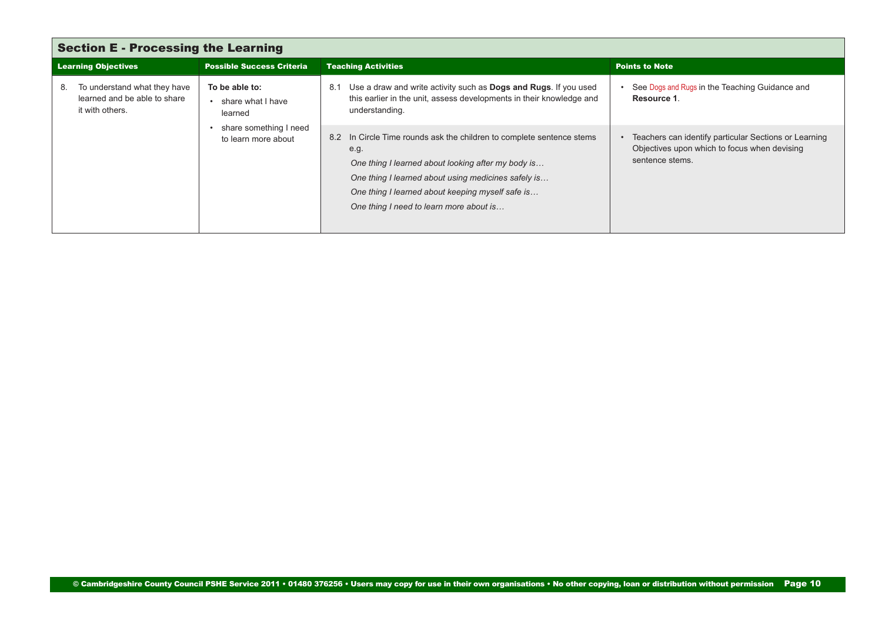<span id="page-9-0"></span>

| <b>Section E - Processing the Learning</b>                                            |                                                  |                                                                                                                                                                                                                                                                                              |                                                                                                                          |
|---------------------------------------------------------------------------------------|--------------------------------------------------|----------------------------------------------------------------------------------------------------------------------------------------------------------------------------------------------------------------------------------------------------------------------------------------------|--------------------------------------------------------------------------------------------------------------------------|
| <b>Learning Objectives</b>                                                            | <b>Possible Success Criteria</b>                 | <b>Teaching Activities</b>                                                                                                                                                                                                                                                                   | <b>Points to Note</b>                                                                                                    |
| To understand what they have<br>8.<br>learned and be able to share<br>it with others. | To be able to:<br>• share what I have<br>learned | Use a draw and write activity such as <b>Dogs and Rugs</b> . If you used<br>8.1<br>this earlier in the unit, assess developments in their knowledge and<br>understanding.                                                                                                                    | See Dogs and Rugs in the Teaching Guidance and<br>Resource 1.                                                            |
|                                                                                       | share something I need<br>to learn more about    | In Circle Time rounds ask the children to complete sentence stems<br>8.2<br>e.g.<br>One thing I learned about looking after my body is<br>One thing I learned about using medicines safely is<br>One thing I learned about keeping myself safe is<br>One thing I need to learn more about is | Teachers can identify particular Sections or Learning<br>Objectives upon which to focus when devising<br>sentence stems. |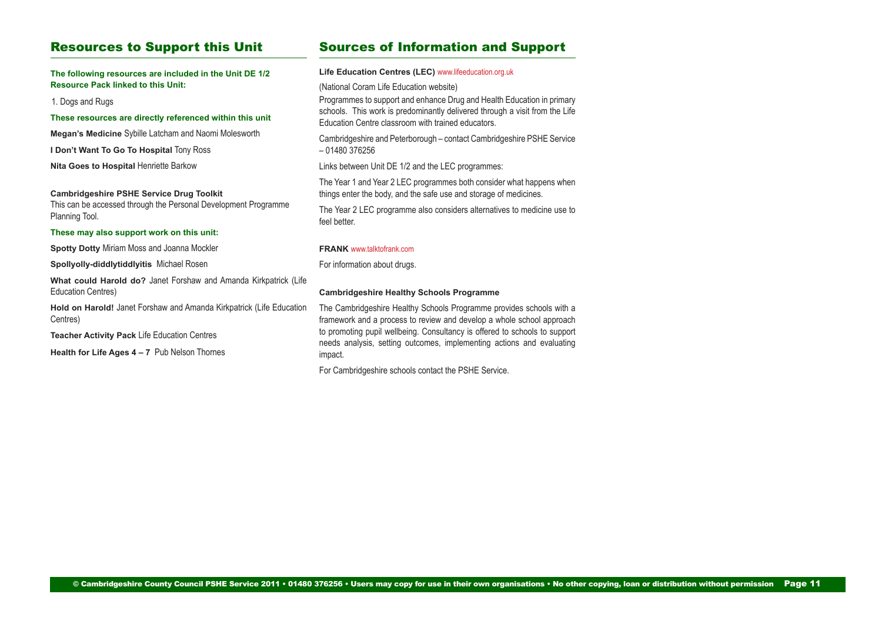#### Resources to Support this Unit

#### **The following resources are included in the Unit DE 1/2 Resource Pack linked to this Unit:**

1. Dogs and Rugs

#### **These resources are directly referenced within this unit**

**Megan's Medicine** Sybille Latcham and Naomi Molesworth

**I Don't Want To Go To Hospital** Tony Ross

**Nita Goes to Hospital** Henriette Barkow

#### **Cambridgeshire PSHE Service Drug Toolkit**

This can be accessed through the Personal Development Programme Planning Tool.

#### **These may also support work on this unit:**

**Spotty Dotty** Miriam Moss and Joanna Mockler

#### **Spollyolly-diddlytiddlyitis** Michael Rosen

**What could Harold do?** Janet Forshaw and Amanda Kirkpatrick (Life Education Centres)

**Hold on Harold!** Janet Forshaw and Amanda Kirkpatrick (Life Education Centres)

**Teacher Activity Pack** Life Education Centres

**Health for Life Ages 4 – 7** Pub Nelson Thornes

#### Sources of Information and Support

#### **Life Education Centres (LEC)** [www.lifeeducation.org.uk](http://www.lifeeducation.org.uk)

[\(National Coram Life Education website\)](http://www.lifeeducation.org.uk)

Programmes to support and enhance Drug and Health Education in primary schools. This work is predominantly delivered through a visit from the Life Education Centre classroom with trained educators.

Cambridgeshire and Peterborough – contact Cambridgeshire PSHE Service – 01480 376256

Links between Unit DE 1/2 and the LEC programmes:

The Year 1 and Year 2 LEC programmes both consider what happens when things enter the body, and the safe use and storage of medicines.

The Year 2 LEC programme also considers alternatives to medicine use to feel better.

#### **FRANK** [www.talktofrank.com](http://www.talktofrank.com)

For information about drugs.

#### **Cambridgeshire Healthy Schools Programme**

The Cambridgeshire Healthy Schools Programme provides schools with a framework and a process to review and develop a whole school approach to promoting pupil wellbeing. Consultancy is offered to schools to support needs analysis, setting outcomes, implementing actions and evaluating impact.

For Cambridgeshire schools contact the PSHE Service.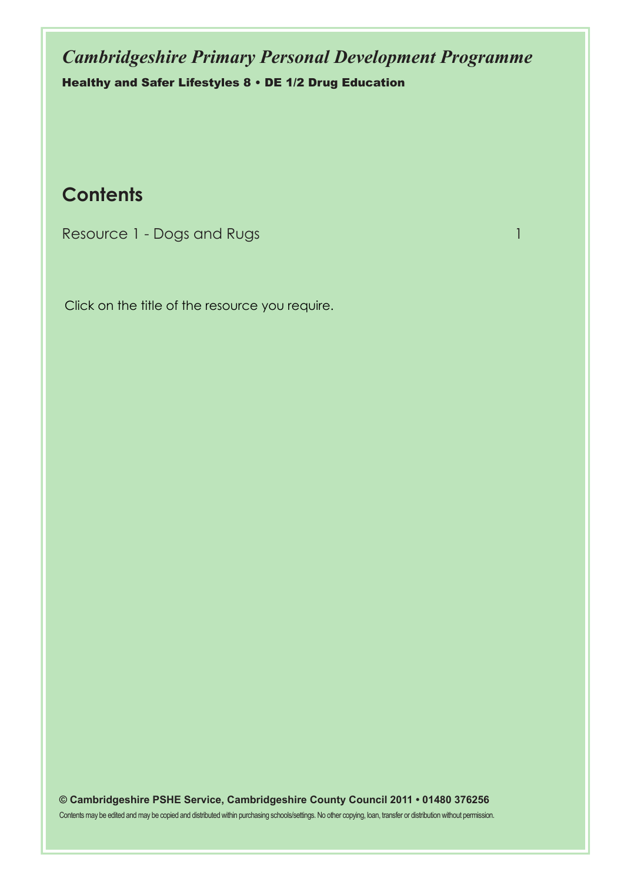*Cambridgeshire Primary Personal Development Programme* Healthy and Safer Lifestyles 8 • DE 1/2 Drug Education

# **Contents**

[Resource 1 - Dogs and Rugs 1](#page-12-0)

Click on the title of the resource you require.

**© Cambridgeshire PSHE Service, Cambridgeshire County Council 2011 • 01480 376256** Contents may be edited and may be copied and distributed within purchasing schools/settings. No other copying, loan, transfer or distribution without permission.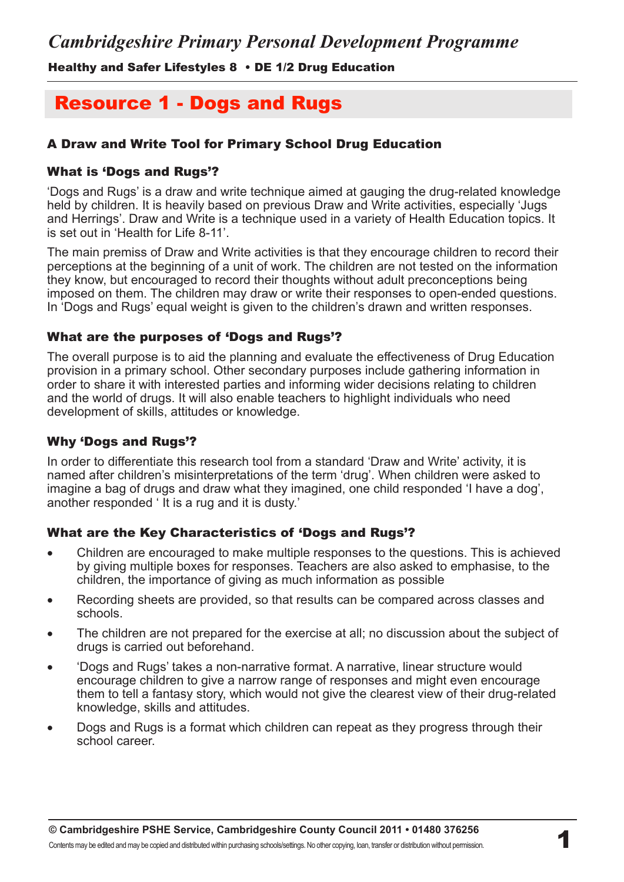### <span id="page-12-0"></span>Healthy and Safer Lifestyles 8 • DE 1/2 Drug Education

# [Resource 1 - Dogs and Rugs](#page-4-0)

### A Draw and Write Tool for Primary School Drug Education

#### What is 'Dogs and Rugs'?

'Dogs and Rugs' is a draw and write technique aimed at gauging the drug-related knowledge held by children. It is heavily based on previous Draw and Write activities, especially 'Jugs and Herrings'. Draw and Write is a technique used in a variety of Health Education topics. It is set out in 'Health for Life 8-11'.

The main premiss of Draw and Write activities is that they encourage children to record their perceptions at the beginning of a unit of work. The children are not tested on the information they know, but encouraged to record their thoughts without adult preconceptions being imposed on them. The children may draw or write their responses to open-ended questions. In 'Dogs and Rugs' equal weight is given to the children's drawn and written responses.

#### What are the purposes of 'Dogs and Rugs'?

The overall purpose is to aid the planning and evaluate the effectiveness of Drug Education provision in a primary school. Other secondary purposes include gathering information in order to share it with interested parties and informing wider decisions relating to children and the world of drugs. It will also enable teachers to highlight individuals who need development of skills, attitudes or knowledge.

#### Why 'Dogs and Rugs'?

In order to differentiate this research tool from a standard 'Draw and Write' activity, it is named after children's misinterpretations of the term 'drug'. When children were asked to imagine a bag of drugs and draw what they imagined, one child responded 'I have a dog', another responded ' It is a rug and it is dusty.'

#### What are the Key Characteristics of 'Dogs and Rugs'?

- Children are encouraged to make multiple responses to the questions. This is achieved by giving multiple boxes for responses. Teachers are also asked to emphasise, to the children, the importance of giving as much information as possible
- Recording sheets are provided, so that results can be compared across classes and schools.
- The children are not prepared for the exercise at all; no discussion about the subject of drugs is carried out beforehand.
- • 'Dogs and Rugs' takes a non-narrative format. A narrative, linear structure would encourage children to give a narrow range of responses and might even encourage them to tell a fantasy story, which would not give the clearest view of their drug-related knowledge, skills and attitudes.
- Dogs and Rugs is a format which children can repeat as they progress through their school career.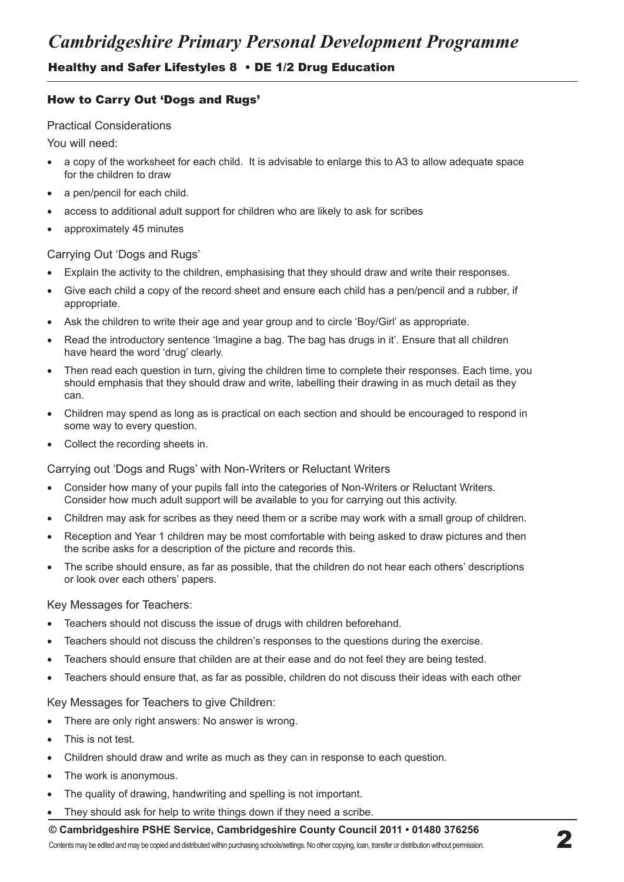### Healthy and Safer Lifestyles 8 • DE 1/2 Drug Education

### How to Carry Out 'Dogs and Rugs'

#### Practical Considerations

You will need:

- a copy of the worksheet for each child. It is advisable to enlarge this to A3 to allow adequate space for the children to draw
- a pen/pencil for each child.
- access to additional adult support for children who are likely to ask for scribes
- approximately 45 minutes

#### Carrying Out 'Dogs and Rugs'

- Explain the activity to the children, emphasising that they should draw and write their responses.
- Give each child a copy of the record sheet and ensure each child has a pen/pencil and a rubber, if appropriate.
- Ask the children to write their age and year group and to circle 'Boy/Girl' as appropriate.
- Read the introductory sentence 'Imagine a bag. The bag has drugs in it'. Ensure that all children have heard the word 'drug' clearly.
- Then read each question in turn, giving the children time to complete their responses. Each time, you should emphasis that they should draw and write, labelling their drawing in as much detail as they can.
- Children may spend as long as is practical on each section and should be encouraged to respond in some way to every question.
- Collect the recording sheets in.

#### Carrying out 'Dogs and Rugs' with Non-Writers or Reluctant Writers

- Consider how many of your pupils fall into the categories of Non-Writers or Reluctant Writers. Consider how much adult support will be available to you for carrying out this activity.
- • Children may ask for scribes as they need them or a scribe may work with a small group of children.
- Reception and Year 1 children may be most comfortable with being asked to draw pictures and then the scribe asks for a description of the picture and records this.
- The scribe should ensure, as far as possible, that the children do not hear each others' descriptions or look over each others' papers.

#### Key Messages for Teachers:

- Teachers should not discuss the issue of drugs with children beforehand.
- Teachers should not discuss the children's responses to the questions during the exercise.
- Teachers should ensure that childen are at their ease and do not feel they are being tested.
- Teachers should ensure that, as far as possible, children do not discuss their ideas with each other

#### Key Messages for Teachers to give Children:

- There are only right answers: No answer is wrong.
- This is not test.
- Children should draw and write as much as they can in response to each question.
- The work is anonymous.
- The quality of drawing, handwriting and spelling is not important.
- They should ask for help to write things down if they need a scribe.
- **© Cambridgeshire PSHE Service, Cambridgeshire County Council 2011 01480 376256**

Contents may be edited and may be copied and distributed within purchasing schools/settings. No other copying, loan, transfer or distribution without permission.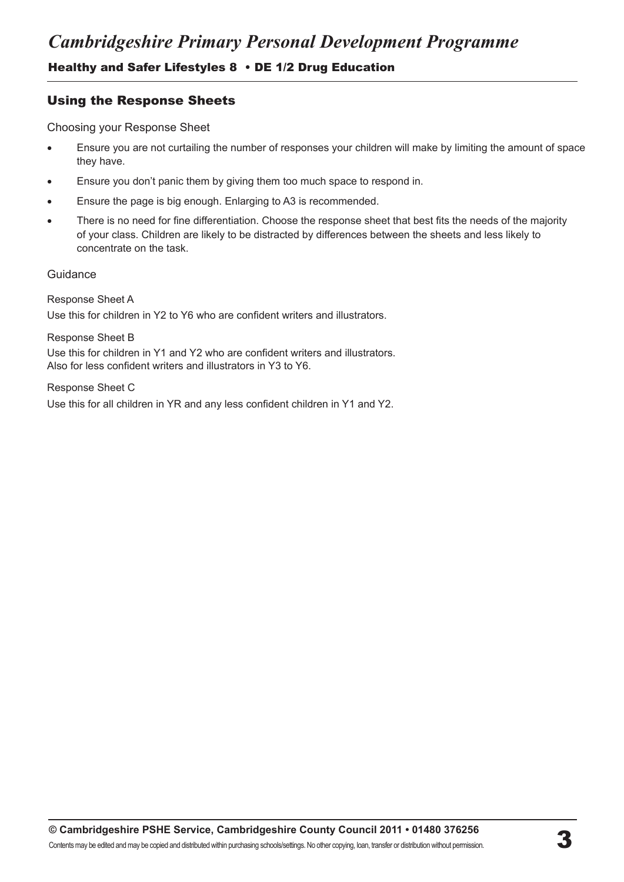### Healthy and Safer Lifestyles 8 • DE 1/2 Drug Education

### Using the Response Sheets

Choosing your Response Sheet

- Ensure you are not curtailing the number of responses your children will make by limiting the amount of space they have.
- Ensure you don't panic them by giving them too much space to respond in.
- Ensure the page is big enough. Enlarging to A3 is recommended.
- There is no need for fine differentiation. Choose the response sheet that best fits the needs of the majority of your class. Children are likely to be distracted by differences between the sheets and less likely to concentrate on the task.

#### Guidance

#### Response Sheet A

Use this for children in Y2 to Y6 who are confident writers and illustrators.

#### Response Sheet B

Use this for children in Y1 and Y2 who are confident writers and illustrators. Also for less confident writers and illustrators in Y3 to Y6.

Response Sheet C Use this for all children in YR and any less confident children in Y1 and Y2.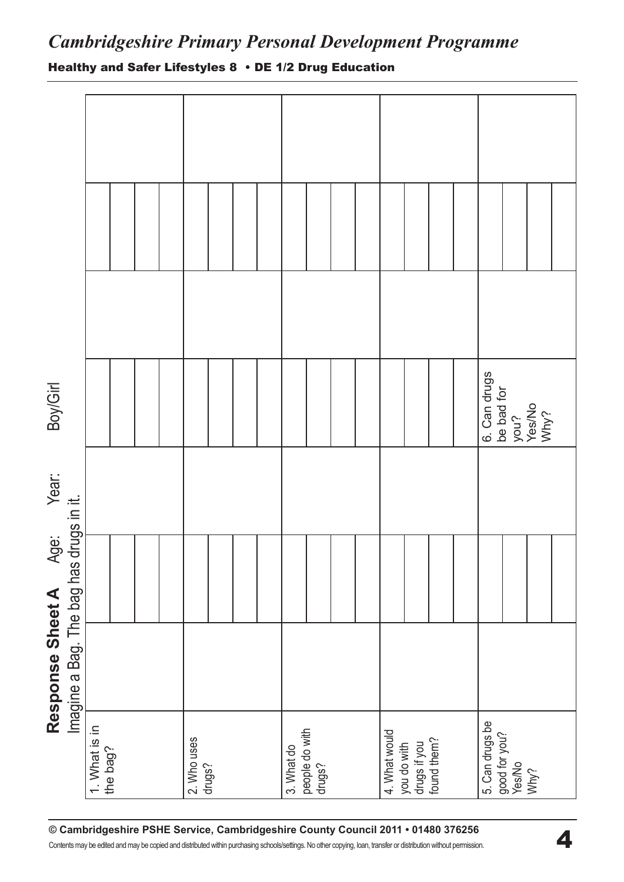### Healthy and Safer Lifestyles 8 • DE 1/2 Drug Education



**© Cambridgeshire PSHE Service, Cambridgeshire County Council 2011 • 01480 376256**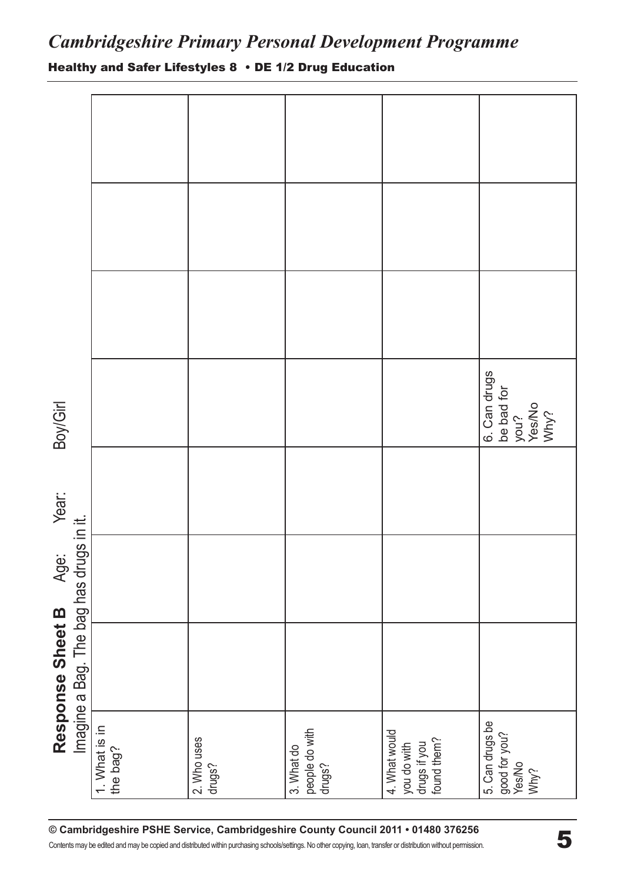### Healthy and Safer Lifestyles 8 • DE 1/2 Drug Education



**© Cambridgeshire PSHE Service, Cambridgeshire County Council 2011 • 01480 376256**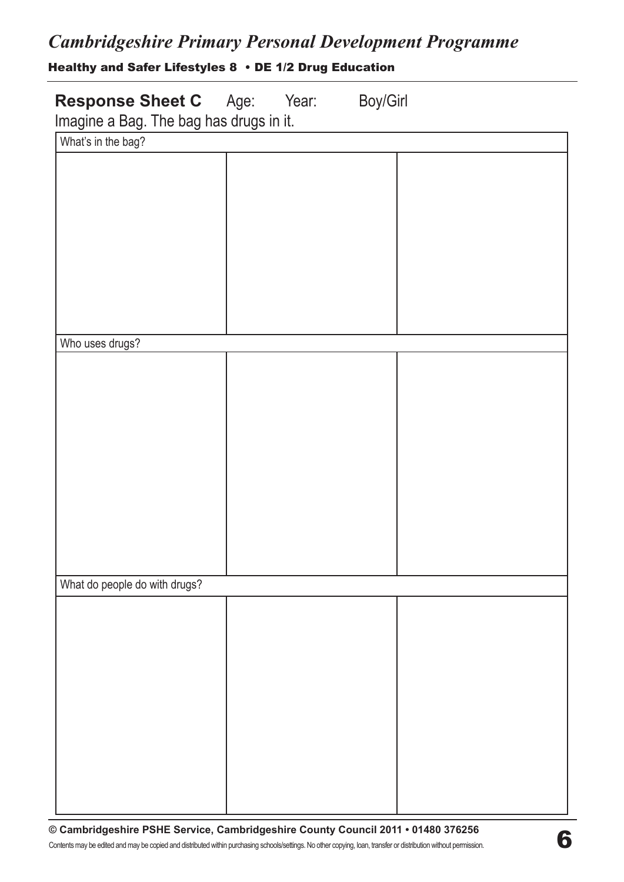## Healthy and Safer Lifestyles 8 • DE 1/2 Drug Education

| <b>Response Sheet C</b> Age: Year:      | Boy/Girl |  |  |  |
|-----------------------------------------|----------|--|--|--|
| Imagine a Bag. The bag has drugs in it. |          |  |  |  |
| What's in the bag?                      |          |  |  |  |
|                                         |          |  |  |  |
|                                         |          |  |  |  |
|                                         |          |  |  |  |
|                                         |          |  |  |  |
|                                         |          |  |  |  |
|                                         |          |  |  |  |
|                                         |          |  |  |  |
|                                         |          |  |  |  |
|                                         |          |  |  |  |
| Who uses drugs?                         |          |  |  |  |
|                                         |          |  |  |  |
|                                         |          |  |  |  |
|                                         |          |  |  |  |
|                                         |          |  |  |  |
|                                         |          |  |  |  |
|                                         |          |  |  |  |
|                                         |          |  |  |  |
|                                         |          |  |  |  |
|                                         |          |  |  |  |
|                                         |          |  |  |  |
| What do people do with drugs?           |          |  |  |  |
|                                         |          |  |  |  |
|                                         |          |  |  |  |
|                                         |          |  |  |  |
|                                         |          |  |  |  |
|                                         |          |  |  |  |
|                                         |          |  |  |  |
|                                         |          |  |  |  |
|                                         |          |  |  |  |
|                                         |          |  |  |  |
|                                         |          |  |  |  |
|                                         |          |  |  |  |

**© Cambridgeshire PSHE Service, Cambridgeshire County Council 2011 • 01480 376256**

 $\odot$  Campriagesnife PSHE Service, Campriagesnife County Council 2011 • 01480 376256<br>Contents may be edited and may be copied and distributed within purchasing schools/settings. No other copying, loan, transfer or distrib